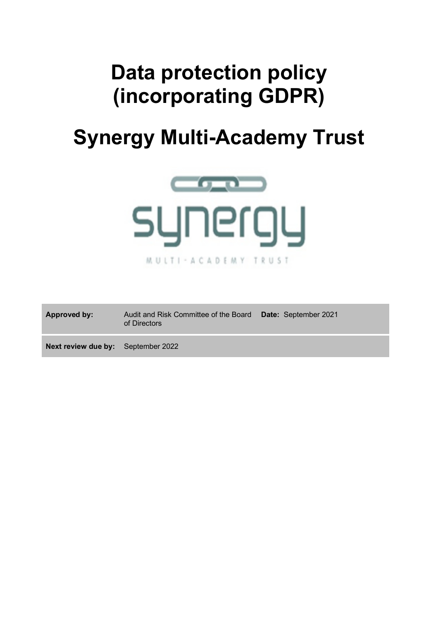# **Data protection policy (incorporating GDPR)**

# **Synergy Multi-Academy Trust**



| Approved by: | Audit and Risk Committee of the Board Date: September 2021<br>of Directors |  |
|--------------|----------------------------------------------------------------------------|--|
|              |                                                                            |  |

**Next review due by:** September 2022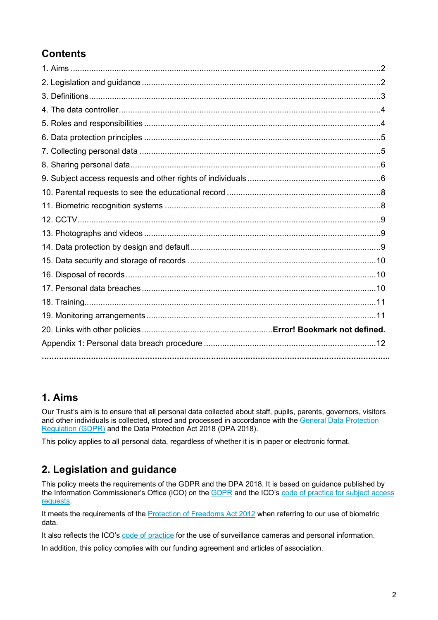# **Contents**

## **1. Aims**

Our Trust's aim is to ensure that all personal data collected about staff, pupils, parents, governors, visitors and other individuals is collected, stored and processed in accordance with the General Data Protection Regulation (GDPR) and the Data Protection Act 2018 (DPA 2018).

This policy applies to all personal data, regardless of whether it is in paper or electronic format.

## **2. Legislation and guidance**

This policy meets the requirements of the GDPR and the DPA 2018. It is based on guidance published by the Information Commissioner's Office (ICO) on the GDPR and the ICO's code of practice for subject access requests.

It meets the requirements of the Protection of Freedoms Act 2012 when referring to our use of biometric data.

It also reflects the ICO's code of practice for the use of surveillance cameras and personal information.

In addition, this policy complies with our funding agreement and articles of association.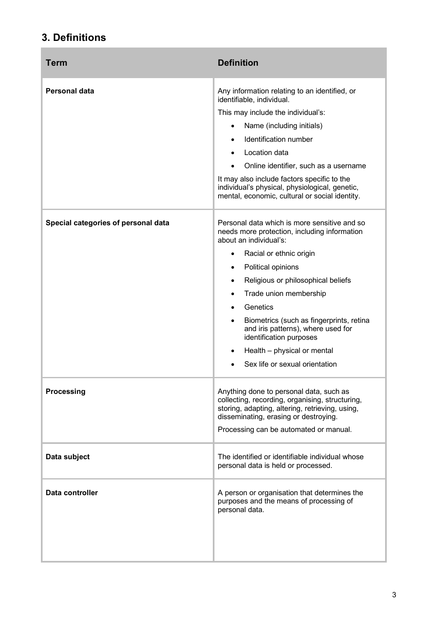# **3. Definitions**

 $\overline{a}$ 

| Term                                | <b>Definition</b>                                                                                                                                                                                                                                                                                                                                                                                                                                                                          |
|-------------------------------------|--------------------------------------------------------------------------------------------------------------------------------------------------------------------------------------------------------------------------------------------------------------------------------------------------------------------------------------------------------------------------------------------------------------------------------------------------------------------------------------------|
| Personal data                       | Any information relating to an identified, or<br>identifiable, individual.<br>This may include the individual's:<br>Name (including initials)<br>Identification number<br>Location data<br>Online identifier, such as a username<br>It may also include factors specific to the<br>individual's physical, physiological, genetic,<br>mental, economic, cultural or social identity.                                                                                                        |
| Special categories of personal data | Personal data which is more sensitive and so<br>needs more protection, including information<br>about an individual's:<br>Racial or ethnic origin<br>$\bullet$<br>Political opinions<br>$\bullet$<br>Religious or philosophical beliefs<br>$\bullet$<br>Trade union membership<br>$\bullet$<br>Genetics<br>Biometrics (such as fingerprints, retina<br>and iris patterns), where used for<br>identification purposes<br>Health - physical or mental<br>٠<br>Sex life or sexual orientation |
| Processing                          | Anything done to personal data, such as<br>collecting, recording, organising, structuring,<br>storing, adapting, altering, retrieving, using,<br>disseminating, erasing or destroying.<br>Processing can be automated or manual.                                                                                                                                                                                                                                                           |
| Data subject                        | The identified or identifiable individual whose<br>personal data is held or processed.                                                                                                                                                                                                                                                                                                                                                                                                     |
| Data controller                     | A person or organisation that determines the<br>purposes and the means of processing of<br>personal data.                                                                                                                                                                                                                                                                                                                                                                                  |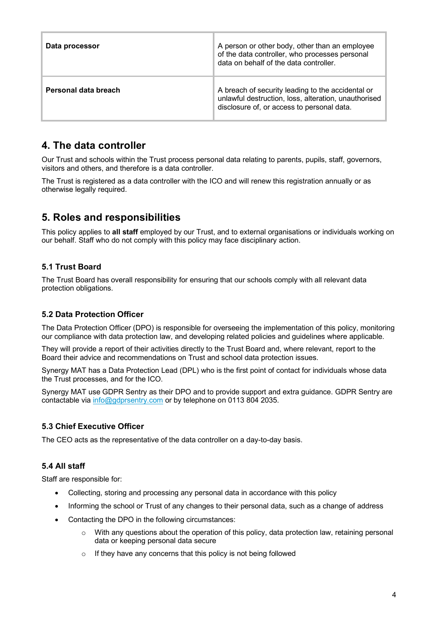| Data processor       | A person or other body, other than an employee<br>of the data controller, who processes personal<br>data on behalf of the data controller.              |
|----------------------|---------------------------------------------------------------------------------------------------------------------------------------------------------|
| Personal data breach | A breach of security leading to the accidental or<br>unlawful destruction, loss, alteration, unauthorised<br>disclosure of, or access to personal data. |

## **4. The data controller**

Our Trust and schools within the Trust process personal data relating to parents, pupils, staff, governors, visitors and others, and therefore is a data controller.

The Trust is registered as a data controller with the ICO and will renew this registration annually or as otherwise legally required.

## **5. Roles and responsibilities**

This policy applies to **all staff** employed by our Trust, and to external organisations or individuals working on our behalf. Staff who do not comply with this policy may face disciplinary action.

## **5.1 Trust Board**

The Trust Board has overall responsibility for ensuring that our schools comply with all relevant data protection obligations.

#### **5.2 Data Protection Officer**

The Data Protection Officer (DPO) is responsible for overseeing the implementation of this policy, monitoring our compliance with data protection law, and developing related policies and guidelines where applicable.

They will provide a report of their activities directly to the Trust Board and, where relevant, report to the Board their advice and recommendations on Trust and school data protection issues.

Synergy MAT has a Data Protection Lead (DPL) who is the first point of contact for individuals whose data the Trust processes, and for the ICO.

Synergy MAT use GDPR Sentry as their DPO and to provide support and extra guidance. GDPR Sentry are contactable via info@gdprsentry.com or by telephone on 0113 804 2035.

#### **5.3 Chief Executive Officer**

The CEO acts as the representative of the data controller on a day-to-day basis.

### **5.4 All staff**

Staff are responsible for:

- Collecting, storing and processing any personal data in accordance with this policy
- Informing the school or Trust of any changes to their personal data, such as a change of address
- Contacting the DPO in the following circumstances:
	- $\circ$  With any questions about the operation of this policy, data protection law, retaining personal data or keeping personal data secure
	- o If they have any concerns that this policy is not being followed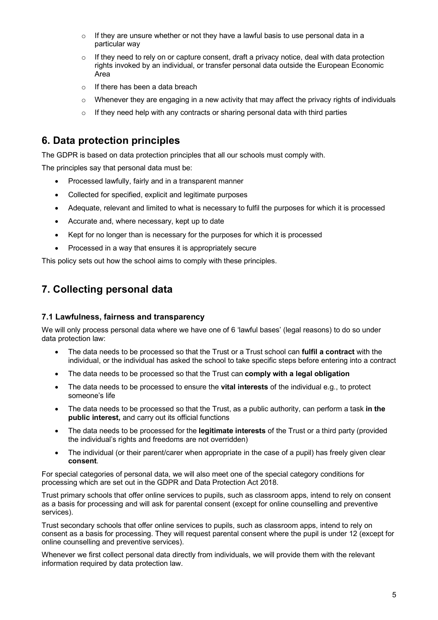- o If they are unsure whether or not they have a lawful basis to use personal data in a particular way
- $\circ$  If they need to rely on or capture consent, draft a privacy notice, deal with data protection rights invoked by an individual, or transfer personal data outside the European Economic Area
- o If there has been a data breach
- $\circ$  Whenever they are engaging in a new activity that may affect the privacy rights of individuals
- o If they need help with any contracts or sharing personal data with third parties

## **6. Data protection principles**

The GDPR is based on data protection principles that all our schools must comply with.

The principles say that personal data must be:

- Processed lawfully, fairly and in a transparent manner
- Collected for specified, explicit and legitimate purposes
- Adequate, relevant and limited to what is necessary to fulfil the purposes for which it is processed
- Accurate and, where necessary, kept up to date
- Kept for no longer than is necessary for the purposes for which it is processed
- Processed in a way that ensures it is appropriately secure

This policy sets out how the school aims to comply with these principles.

## **7. Collecting personal data**

#### **7.1 Lawfulness, fairness and transparency**

We will only process personal data where we have one of 6 'lawful bases' (legal reasons) to do so under data protection law:

- The data needs to be processed so that the Trust or a Trust school can **fulfil a contract** with the individual, or the individual has asked the school to take specific steps before entering into a contract
- The data needs to be processed so that the Trust can **comply with a legal obligation**
- The data needs to be processed to ensure the **vital interests** of the individual e.g., to protect someone's life
- The data needs to be processed so that the Trust, as a public authority, can perform a task **in the public interest,** and carry out its official functions
- The data needs to be processed for the **legitimate interests** of the Trust or a third party (provided the individual's rights and freedoms are not overridden)
- The individual (or their parent/carer when appropriate in the case of a pupil) has freely given clear **consent**.

For special categories of personal data, we will also meet one of the special category conditions for processing which are set out in the GDPR and Data Protection Act 2018.

Trust primary schools that offer online services to pupils, such as classroom apps, intend to rely on consent as a basis for processing and will ask for parental consent (except for online counselling and preventive services).

Trust secondary schools that offer online services to pupils, such as classroom apps, intend to rely on consent as a basis for processing. They will request parental consent where the pupil is under 12 (except for online counselling and preventive services).

Whenever we first collect personal data directly from individuals, we will provide them with the relevant information required by data protection law.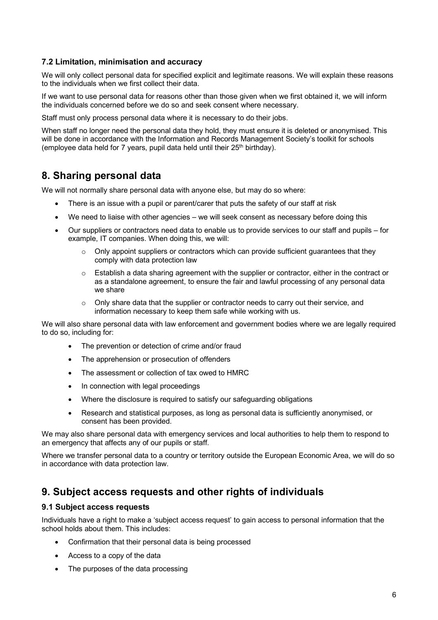#### **7.2 Limitation, minimisation and accuracy**

We will only collect personal data for specified explicit and legitimate reasons. We will explain these reasons to the individuals when we first collect their data.

If we want to use personal data for reasons other than those given when we first obtained it, we will inform the individuals concerned before we do so and seek consent where necessary.

Staff must only process personal data where it is necessary to do their jobs.

When staff no longer need the personal data they hold, they must ensure it is deleted or anonymised. This will be done in accordance with the Information and Records Management Society's toolkit for schools (employee data held for  $7$  years, pupil data held until their  $25<sup>th</sup>$  birthday).

## **8. Sharing personal data**

We will not normally share personal data with anyone else, but may do so where:

- There is an issue with a pupil or parent/carer that puts the safety of our staff at risk
- We need to liaise with other agencies we will seek consent as necessary before doing this
- Our suppliers or contractors need data to enable us to provide services to our staff and pupils for example, IT companies. When doing this, we will:
	- $\circ$  Only appoint suppliers or contractors which can provide sufficient guarantees that they comply with data protection law
	- $\circ$  Establish a data sharing agreement with the supplier or contractor, either in the contract or as a standalone agreement, to ensure the fair and lawful processing of any personal data we share
	- $\circ$  Only share data that the supplier or contractor needs to carry out their service, and information necessary to keep them safe while working with us.

We will also share personal data with law enforcement and government bodies where we are legally required to do so, including for:

- The prevention or detection of crime and/or fraud
- The apprehension or prosecution of offenders
- The assessment or collection of tax owed to HMRC
- In connection with legal proceedings
- Where the disclosure is required to satisfy our safeguarding obligations
- Research and statistical purposes, as long as personal data is sufficiently anonymised, or consent has been provided.

We may also share personal data with emergency services and local authorities to help them to respond to an emergency that affects any of our pupils or staff.

Where we transfer personal data to a country or territory outside the European Economic Area, we will do so in accordance with data protection law.

## **9. Subject access requests and other rights of individuals**

#### **9.1 Subject access requests**

Individuals have a right to make a 'subject access request' to gain access to personal information that the school holds about them. This includes:

- Confirmation that their personal data is being processed
- Access to a copy of the data
- The purposes of the data processing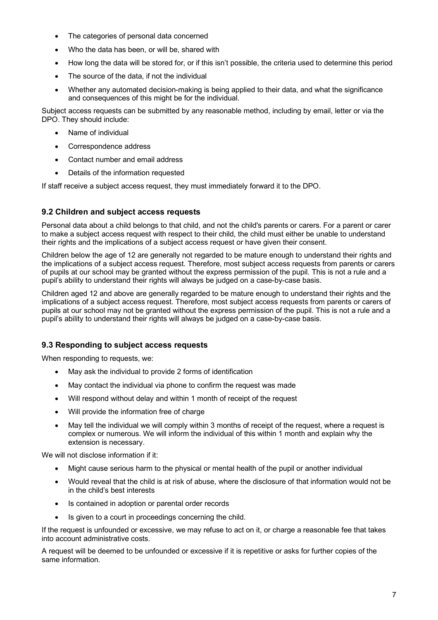- The categories of personal data concerned
- Who the data has been, or will be, shared with
- How long the data will be stored for, or if this isn't possible, the criteria used to determine this period
- The source of the data, if not the individual
- Whether any automated decision-making is being applied to their data, and what the significance and consequences of this might be for the individual.

Subject access requests can be submitted by any reasonable method, including by email, letter or via the DPO. They should include:

- Name of individual
- Correspondence address
- Contact number and email address
- Details of the information requested

If staff receive a subject access request, they must immediately forward it to the DPO.

#### **9.2 Children and subject access requests**

Personal data about a child belongs to that child, and not the child's parents or carers. For a parent or carer to make a subject access request with respect to their child, the child must either be unable to understand their rights and the implications of a subject access request or have given their consent.

Children below the age of 12 are generally not regarded to be mature enough to understand their rights and the implications of a subject access request. Therefore, most subject access requests from parents or carers of pupils at our school may be granted without the express permission of the pupil. This is not a rule and a pupil's ability to understand their rights will always be judged on a case-by-case basis.

Children aged 12 and above are generally regarded to be mature enough to understand their rights and the implications of a subject access request. Therefore, most subject access requests from parents or carers of pupils at our school may not be granted without the express permission of the pupil. This is not a rule and a pupil's ability to understand their rights will always be judged on a case-by-case basis.

#### **9.3 Responding to subject access requests**

When responding to requests, we:

- May ask the individual to provide 2 forms of identification
- May contact the individual via phone to confirm the request was made
- Will respond without delay and within 1 month of receipt of the request
- Will provide the information free of charge
- May tell the individual we will comply within 3 months of receipt of the request, where a request is complex or numerous. We will inform the individual of this within 1 month and explain why the extension is necessary.

We will not disclose information if it:

- Might cause serious harm to the physical or mental health of the pupil or another individual
- Would reveal that the child is at risk of abuse, where the disclosure of that information would not be in the child's best interests
- Is contained in adoption or parental order records
- Is given to a court in proceedings concerning the child.

If the request is unfounded or excessive, we may refuse to act on it, or charge a reasonable fee that takes into account administrative costs.

A request will be deemed to be unfounded or excessive if it is repetitive or asks for further copies of the same information.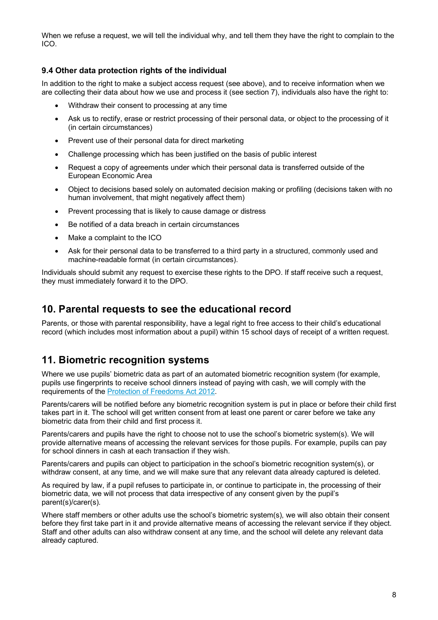When we refuse a request, we will tell the individual why, and tell them they have the right to complain to the ICO.

#### **9.4 Other data protection rights of the individual**

In addition to the right to make a subject access request (see above), and to receive information when we are collecting their data about how we use and process it (see section 7), individuals also have the right to:

- Withdraw their consent to processing at any time
- Ask us to rectify, erase or restrict processing of their personal data, or object to the processing of it (in certain circumstances)
- Prevent use of their personal data for direct marketing
- Challenge processing which has been justified on the basis of public interest
- Request a copy of agreements under which their personal data is transferred outside of the European Economic Area
- Object to decisions based solely on automated decision making or profiling (decisions taken with no human involvement, that might negatively affect them)
- Prevent processing that is likely to cause damage or distress
- Be notified of a data breach in certain circumstances
- Make a complaint to the ICO
- Ask for their personal data to be transferred to a third party in a structured, commonly used and machine-readable format (in certain circumstances).

Individuals should submit any request to exercise these rights to the DPO. If staff receive such a request, they must immediately forward it to the DPO.

## **10. Parental requests to see the educational record**

Parents, or those with parental responsibility, have a legal right to free access to their child's educational record (which includes most information about a pupil) within 15 school days of receipt of a written request.

## **11. Biometric recognition systems**

Where we use pupils' biometric data as part of an automated biometric recognition system (for example, pupils use fingerprints to receive school dinners instead of paying with cash, we will comply with the requirements of the Protection of Freedoms Act 2012.

Parents/carers will be notified before any biometric recognition system is put in place or before their child first takes part in it. The school will get written consent from at least one parent or carer before we take any biometric data from their child and first process it.

Parents/carers and pupils have the right to choose not to use the school's biometric system(s). We will provide alternative means of accessing the relevant services for those pupils. For example, pupils can pay for school dinners in cash at each transaction if they wish.

Parents/carers and pupils can object to participation in the school's biometric recognition system(s), or withdraw consent, at any time, and we will make sure that any relevant data already captured is deleted.

As required by law, if a pupil refuses to participate in, or continue to participate in, the processing of their biometric data, we will not process that data irrespective of any consent given by the pupil's parent(s)/carer(s).

Where staff members or other adults use the school's biometric system(s), we will also obtain their consent before they first take part in it and provide alternative means of accessing the relevant service if they object. Staff and other adults can also withdraw consent at any time, and the school will delete any relevant data already captured.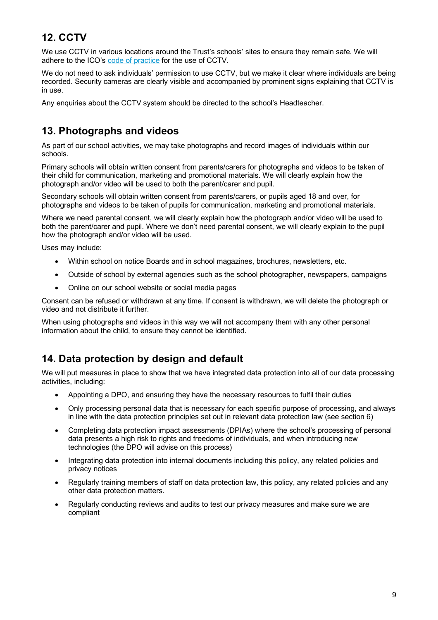# **12. CCTV**

We use CCTV in various locations around the Trust's schools' sites to ensure they remain safe. We will adhere to the ICO's code of practice for the use of CCTV.

We do not need to ask individuals' permission to use CCTV, but we make it clear where individuals are being recorded. Security cameras are clearly visible and accompanied by prominent signs explaining that CCTV is in use.

Any enquiries about the CCTV system should be directed to the school's Headteacher.

## **13. Photographs and videos**

As part of our school activities, we may take photographs and record images of individuals within our schools.

Primary schools will obtain written consent from parents/carers for photographs and videos to be taken of their child for communication, marketing and promotional materials. We will clearly explain how the photograph and/or video will be used to both the parent/carer and pupil.

Secondary schools will obtain written consent from parents/carers, or pupils aged 18 and over, for photographs and videos to be taken of pupils for communication, marketing and promotional materials.

Where we need parental consent, we will clearly explain how the photograph and/or video will be used to both the parent/carer and pupil. Where we don't need parental consent, we will clearly explain to the pupil how the photograph and/or video will be used.

Uses may include:

- Within school on notice Boards and in school magazines, brochures, newsletters, etc.
- Outside of school by external agencies such as the school photographer, newspapers, campaigns
- Online on our school website or social media pages

Consent can be refused or withdrawn at any time. If consent is withdrawn, we will delete the photograph or video and not distribute it further.

When using photographs and videos in this way we will not accompany them with any other personal information about the child, to ensure they cannot be identified.

## **14. Data protection by design and default**

We will put measures in place to show that we have integrated data protection into all of our data processing activities, including:

- Appointing a DPO, and ensuring they have the necessary resources to fulfil their duties
- Only processing personal data that is necessary for each specific purpose of processing, and always in line with the data protection principles set out in relevant data protection law (see section 6)
- Completing data protection impact assessments (DPIAs) where the school's processing of personal data presents a high risk to rights and freedoms of individuals, and when introducing new technologies (the DPO will advise on this process)
- Integrating data protection into internal documents including this policy, any related policies and privacy notices
- Regularly training members of staff on data protection law, this policy, any related policies and any other data protection matters.
- Regularly conducting reviews and audits to test our privacy measures and make sure we are compliant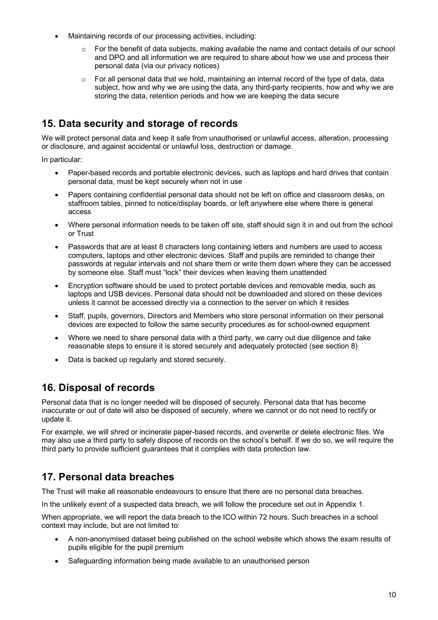- Maintaining records of our processing activities, including:
	- For the benefit of data subjects, making available the name and contact details of our school and DPO and all information we are required to share about how we use and process their personal data (via our privacy notices)
	- $\circ$  For all personal data that we hold, maintaining an internal record of the type of data, data subject, how and why we are using the data, any third-party recipients, how and why we are storing the data, retention periods and how we are keeping the data secure

## **15. Data security and storage of records**

We will protect personal data and keep it safe from unauthorised or unlawful access, alteration, processing or disclosure, and against accidental or unlawful loss, destruction or damage.

In particular:

- Paper-based records and portable electronic devices, such as laptops and hard drives that contain personal data, must be kept securely when not in use
- Papers containing confidential personal data should not be left on office and classroom desks, on staffroom tables, pinned to notice/display boards, or left anywhere else where there is general access
- Where personal information needs to be taken off site, staff should sign it in and out from the school or Trust
- Passwords that are at least 8 characters long containing letters and numbers are used to access computers, laptops and other electronic devices. Staff and pupils are reminded to change their passwords at regular intervals and not share them or write them down where they can be accessed by someone else. Staff must "lock" their devices when leaving them unattended
- Encryption software should be used to protect portable devices and removable media, such as laptops and USB devices. Personal data should not be downloaded and stored on these devices unless it cannot be accessed directly via a connection to the server on which it resides
- Staff, pupils, governors, Directors and Members who store personal information on their personal devices are expected to follow the same security procedures as for school-owned equipment
- Where we need to share personal data with a third party, we carry out due diligence and take reasonable steps to ensure it is stored securely and adequately protected (see section 8)
- Data is backed up regularly and stored securely.

## **16. Disposal of records**

Personal data that is no longer needed will be disposed of securely. Personal data that has become inaccurate or out of date will also be disposed of securely, where we cannot or do not need to rectify or update it.

For example, we will shred or incinerate paper-based records, and overwrite or delete electronic files. We may also use a third party to safely dispose of records on the school's behalf. If we do so, we will require the third party to provide sufficient guarantees that it complies with data protection law.

## **17. Personal data breaches**

The Trust will make all reasonable endeavours to ensure that there are no personal data breaches.

In the unlikely event of a suspected data breach, we will follow the procedure set out in Appendix 1.

When appropriate, we will report the data breach to the ICO within 72 hours. Such breaches in a school context may include, but are not limited to:

- A non-anonymised dataset being published on the school website which shows the exam results of pupils eligible for the pupil premium
- Safeguarding information being made available to an unauthorised person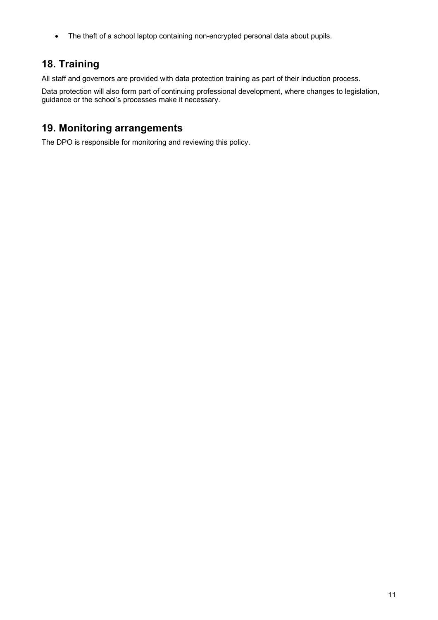• The theft of a school laptop containing non-encrypted personal data about pupils.

# **18. Training**

All staff and governors are provided with data protection training as part of their induction process.

Data protection will also form part of continuing professional development, where changes to legislation, guidance or the school's processes make it necessary.

## **19. Monitoring arrangements**

The DPO is responsible for monitoring and reviewing this policy.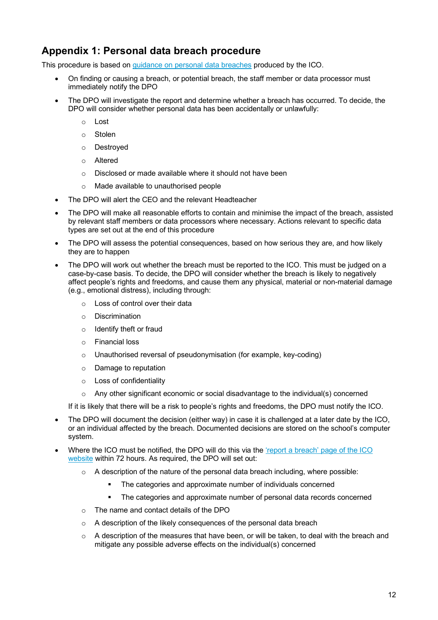## **Appendix 1: Personal data breach procedure**

This procedure is based on guidance on personal data breaches produced by the ICO.

- On finding or causing a breach, or potential breach, the staff member or data processor must immediately notify the DPO
- The DPO will investigate the report and determine whether a breach has occurred. To decide, the DPO will consider whether personal data has been accidentally or unlawfully:
	- o Lost
	- o Stolen
	- o Destroyed
	- o Altered
	- o Disclosed or made available where it should not have been
	- o Made available to unauthorised people
- The DPO will alert the CEO and the relevant Headteacher
- The DPO will make all reasonable efforts to contain and minimise the impact of the breach, assisted by relevant staff members or data processors where necessary. Actions relevant to specific data types are set out at the end of this procedure
- The DPO will assess the potential consequences, based on how serious they are, and how likely they are to happen
- The DPO will work out whether the breach must be reported to the ICO. This must be judged on a case-by-case basis. To decide, the DPO will consider whether the breach is likely to negatively affect people's rights and freedoms, and cause them any physical, material or non-material damage (e.g., emotional distress), including through:
	- o Loss of control over their data
	- o Discrimination
	- o Identify theft or fraud
	- o Financial loss
	- o Unauthorised reversal of pseudonymisation (for example, key-coding)
	- o Damage to reputation
	- o Loss of confidentiality
	- $\circ$  Any other significant economic or social disadvantage to the individual(s) concerned

If it is likely that there will be a risk to people's rights and freedoms, the DPO must notify the ICO.

- The DPO will document the decision (either way) in case it is challenged at a later date by the ICO, or an individual affected by the breach. Documented decisions are stored on the school's computer system.
- Where the ICO must be notified, the DPO will do this via the 'report a breach' page of the ICO website within 72 hours. As required, the DPO will set out:
	- $\circ$  A description of the nature of the personal data breach including, where possible:
		- The categories and approximate number of individuals concerned
		- The categories and approximate number of personal data records concerned
	- o The name and contact details of the DPO
	- o A description of the likely consequences of the personal data breach
	- o A description of the measures that have been, or will be taken, to deal with the breach and mitigate any possible adverse effects on the individual(s) concerned